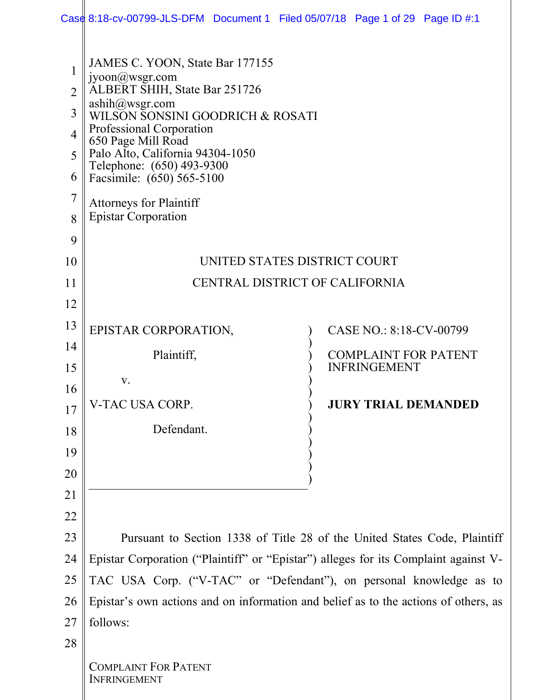|                                                                 | Case 8:18-cv-00799-JLS-DFM Document 1 Filed 05/07/18 Page 1 of 29 Page ID #:1                                                                                                                                                                                                                   |  |                             |  |  |
|-----------------------------------------------------------------|-------------------------------------------------------------------------------------------------------------------------------------------------------------------------------------------------------------------------------------------------------------------------------------------------|--|-----------------------------|--|--|
| $\mathbf{1}$<br>$\overline{2}$<br>3<br>$\overline{4}$<br>5<br>6 | JAMES C. YOON, State Bar 177155<br>$j$ yoon $@$ wsgr.com<br>ALBERT SHIH, State Bar 251726<br>ashih@wsgr.com<br>WILSON SONSINI GOODRICH & ROSATI<br>Professional Corporation<br>650 Page Mill Road<br>Palo Alto, California 94304-1050<br>Telephone: (650) 493-9300<br>Facsimile: (650) 565-5100 |  |                             |  |  |
| $\overline{7}$<br>8                                             | <b>Attorneys for Plaintiff</b><br><b>Epistar Corporation</b>                                                                                                                                                                                                                                    |  |                             |  |  |
| 9                                                               |                                                                                                                                                                                                                                                                                                 |  |                             |  |  |
| 10                                                              | UNITED STATES DISTRICT COURT                                                                                                                                                                                                                                                                    |  |                             |  |  |
| 11                                                              | CENTRAL DISTRICT OF CALIFORNIA                                                                                                                                                                                                                                                                  |  |                             |  |  |
| 12                                                              |                                                                                                                                                                                                                                                                                                 |  |                             |  |  |
| 13                                                              | EPISTAR CORPORATION,                                                                                                                                                                                                                                                                            |  | CASE NO.: 8:18-CV-00799     |  |  |
| 14                                                              | Plaintiff,                                                                                                                                                                                                                                                                                      |  | <b>COMPLAINT FOR PATENT</b> |  |  |
| 15                                                              | V.                                                                                                                                                                                                                                                                                              |  | <b>INFRINGEMENT</b>         |  |  |
| 16                                                              | V-TAC USA CORP.                                                                                                                                                                                                                                                                                 |  | <b>JURY TRIAL DEMANDED</b>  |  |  |
| 17                                                              |                                                                                                                                                                                                                                                                                                 |  |                             |  |  |
| 18                                                              | Defendant.                                                                                                                                                                                                                                                                                      |  |                             |  |  |
| 19<br>20                                                        |                                                                                                                                                                                                                                                                                                 |  |                             |  |  |
| 21                                                              |                                                                                                                                                                                                                                                                                                 |  |                             |  |  |
| 22                                                              |                                                                                                                                                                                                                                                                                                 |  |                             |  |  |
| 23                                                              | Pursuant to Section 1338 of Title 28 of the United States Code, Plaintiff                                                                                                                                                                                                                       |  |                             |  |  |
| 24                                                              | Epistar Corporation ("Plaintiff" or "Epistar") alleges for its Complaint against V-                                                                                                                                                                                                             |  |                             |  |  |
| 25                                                              | TAC USA Corp. ("V-TAC" or "Defendant"), on personal knowledge as to                                                                                                                                                                                                                             |  |                             |  |  |
| 26                                                              | Epistar's own actions and on information and belief as to the actions of others, as                                                                                                                                                                                                             |  |                             |  |  |
| 27                                                              | follows:                                                                                                                                                                                                                                                                                        |  |                             |  |  |
| 28                                                              |                                                                                                                                                                                                                                                                                                 |  |                             |  |  |
|                                                                 | <b>COMPLAINT FOR PATENT</b><br><b>INFRINGEMENT</b>                                                                                                                                                                                                                                              |  |                             |  |  |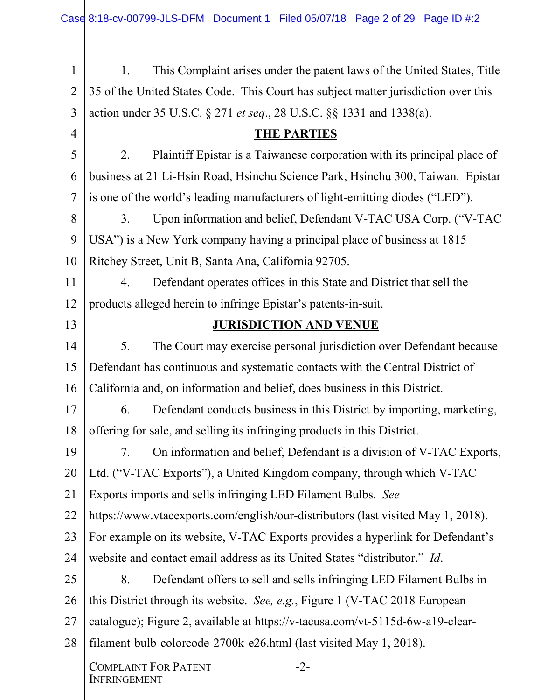| 1              | This Complaint arises under the patent laws of the United States, Title<br>1.           |  |  |  |  |
|----------------|-----------------------------------------------------------------------------------------|--|--|--|--|
| $\overline{2}$ | 35 of the United States Code. This Court has subject matter jurisdiction over this      |  |  |  |  |
| 3              | action under 35 U.S.C. § 271 et seq., 28 U.S.C. §§ 1331 and 1338(a).                    |  |  |  |  |
| 4              | <b>THE PARTIES</b>                                                                      |  |  |  |  |
| 5              | Plaintiff Epistar is a Taiwanese corporation with its principal place of<br>2.          |  |  |  |  |
| 6              | business at 21 Li-Hsin Road, Hsinchu Science Park, Hsinchu 300, Taiwan. Epistar         |  |  |  |  |
| 7              | is one of the world's leading manufacturers of light-emitting diodes ("LED").           |  |  |  |  |
| 8              | Upon information and belief, Defendant V-TAC USA Corp. ("V-TAC<br>3.                    |  |  |  |  |
| 9              | USA") is a New York company having a principal place of business at 1815                |  |  |  |  |
| 10             | Ritchey Street, Unit B, Santa Ana, California 92705.                                    |  |  |  |  |
| 11             | Defendant operates offices in this State and District that sell the<br>$\overline{4}$ . |  |  |  |  |
| 12             | products alleged herein to infringe Epistar's patents-in-suit.                          |  |  |  |  |
| 13             | <b>JURISDICTION AND VENUE</b>                                                           |  |  |  |  |
| 14             | The Court may exercise personal jurisdiction over Defendant because<br>5.               |  |  |  |  |
| 15             | Defendant has continuous and systematic contacts with the Central District of           |  |  |  |  |
| 16             | California and, on information and belief, does business in this District.              |  |  |  |  |
| 17             | Defendant conducts business in this District by importing, marketing,<br>6.             |  |  |  |  |
| 18             | offering for sale, and selling its infringing products in this District.                |  |  |  |  |
| 19             | On information and belief, Defendant is a division of V-TAC Exports,<br>7.              |  |  |  |  |
| 20             | Ltd. ("V-TAC Exports"), a United Kingdom company, through which V-TAC                   |  |  |  |  |
| 21             | Exports imports and sells infringing LED Filament Bulbs. See                            |  |  |  |  |
| 22             | https://www.vtacexports.com/english/our-distributors (last visited May 1, 2018).        |  |  |  |  |
| 23             | For example on its website, V-TAC Exports provides a hyperlink for Defendant's          |  |  |  |  |
| 24             | website and contact email address as its United States "distributor." Id.               |  |  |  |  |
| 25             | Defendant offers to sell and sells infringing LED Filament Bulbs in<br>8.               |  |  |  |  |
| 26             | this District through its website. See, e.g., Figure 1 (V-TAC 2018 European             |  |  |  |  |
| 27             | catalogue); Figure 2, available at https://v-tacusa.com/vt-5115d-6w-a19-clear-          |  |  |  |  |
| 28             | filament-bulb-colorcode-2700k-e26.html (last visited May 1, 2018).                      |  |  |  |  |
|                | <b>COMPLAINT FOR PATENT</b><br>$-2-$<br><b>INFRINGEMENT</b>                             |  |  |  |  |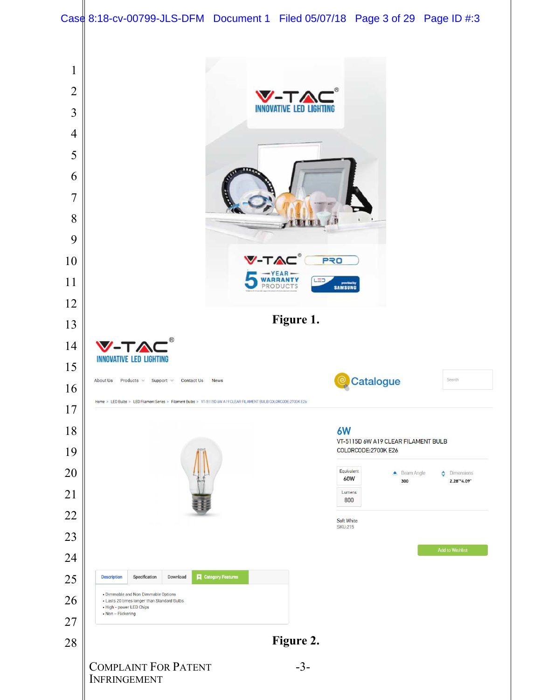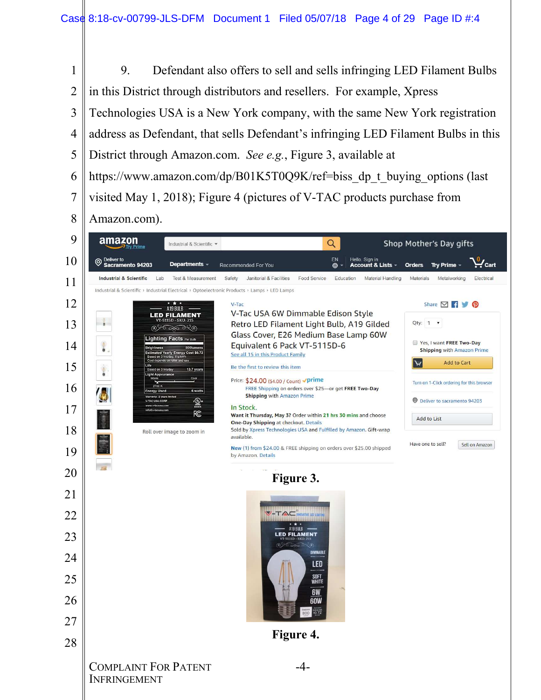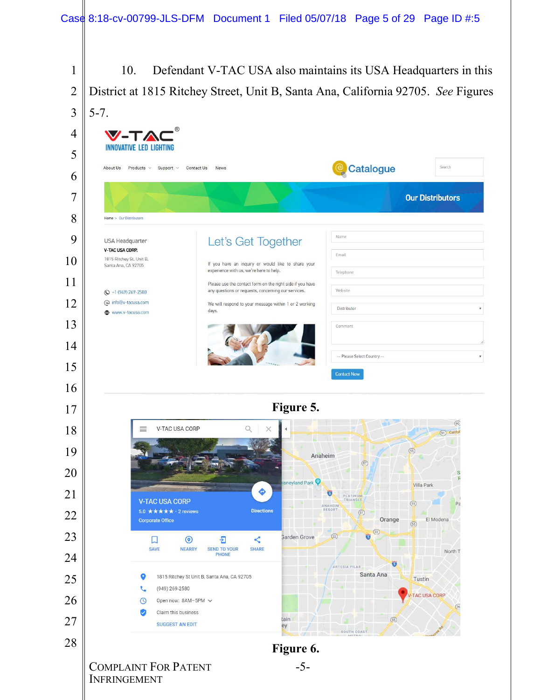10. Defendant V-TAC USA also maintains its USA Headquarters in this District at 1815 Ritchey Street, Unit B, Santa Ana, California 92705. *See* Figures 5-7. V-T/ **INNOVATIVE LED LIGHTING**  <sup>e</sup> Catalogue Products  $\times$  Support  $\times$ Search About Us Contact Us News 





COMPLAINT FOR PATENT INFRINGEMENT

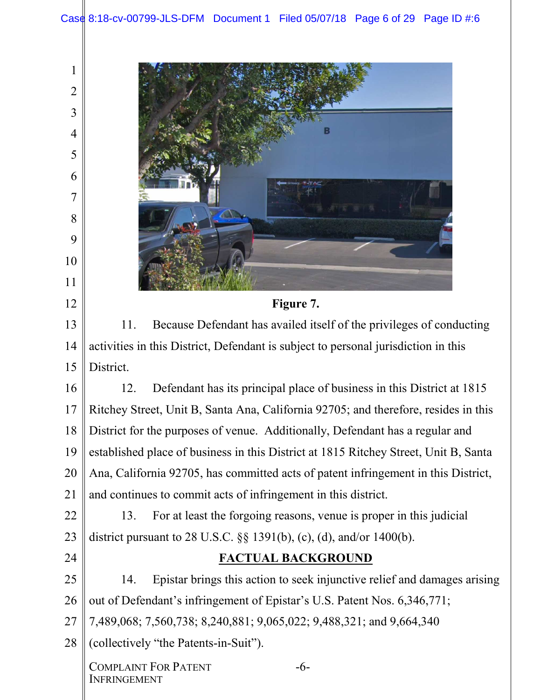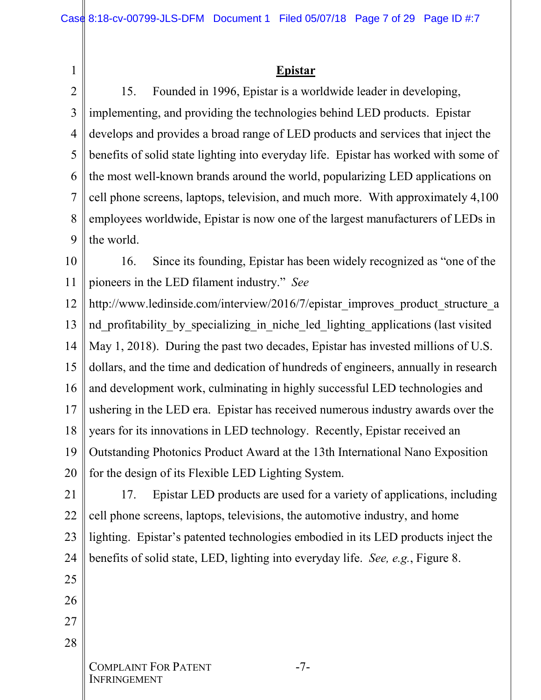#### **Epistar**

2 3 4 5 6 7 8 9 15. Founded in 1996, Epistar is a worldwide leader in developing, implementing, and providing the technologies behind LED products. Epistar develops and provides a broad range of LED products and services that inject the benefits of solid state lighting into everyday life. Epistar has worked with some of the most well-known brands around the world, popularizing LED applications on cell phone screens, laptops, television, and much more. With approximately 4,100 employees worldwide, Epistar is now one of the largest manufacturers of LEDs in the world.

10 11 16. Since its founding, Epistar has been widely recognized as "one of the pioneers in the LED filament industry." *See*

12 13 14 15 16 17 18 19 20 http://www.ledinside.com/interview/2016/7/epistar\_improves\_product\_structure\_a nd profitability by specializing in niche led lighting applications (last visited May 1, 2018). During the past two decades, Epistar has invested millions of U.S. dollars, and the time and dedication of hundreds of engineers, annually in research and development work, culminating in highly successful LED technologies and ushering in the LED era. Epistar has received numerous industry awards over the years for its innovations in LED technology. Recently, Epistar received an Outstanding Photonics Product Award at the 13th International Nano Exposition for the design of its Flexible LED Lighting System.

21 22 23 24 17. Epistar LED products are used for a variety of applications, including cell phone screens, laptops, televisions, the automotive industry, and home lighting. Epistar's patented technologies embodied in its LED products inject the benefits of solid state, LED, lighting into everyday life. *See, e.g.*, Figure 8.

25 26

1

27

28

COMPLAINT FOR PATENT **INFRINGEMENT**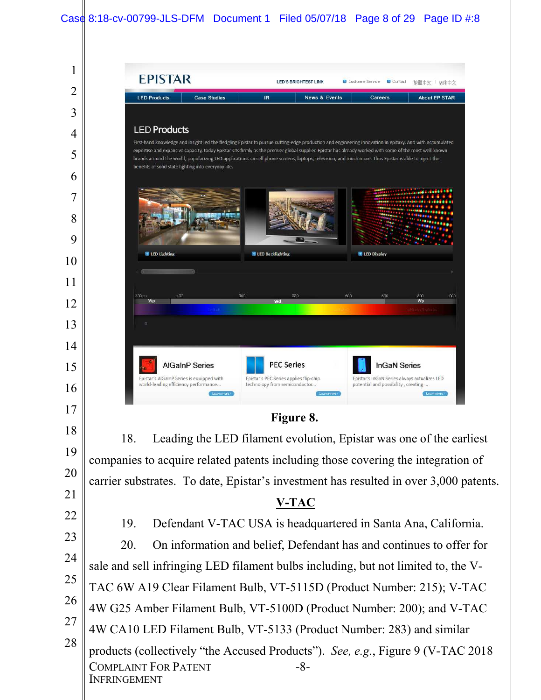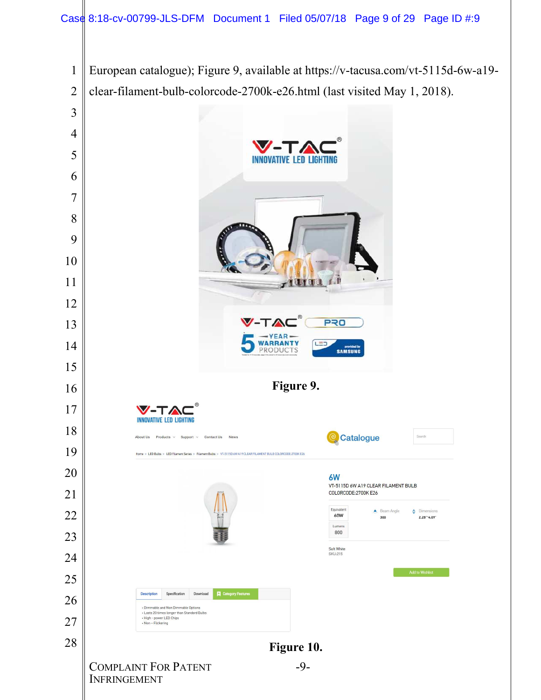European catalogue); Figure 9, available at https://v-tacusa.com/vt-5115d-6w-a19- 1 2 clear-filament-bulb-colorcode-2700k-e26.html (last visited May 1, 2018). 3 4 V-5 **INNOVATIVE LED LIGHTING** 6 7 8 9 10 11  $1010$ 子节 12 **PRO** 13 YEAR **WARRANTY** LED<sup>1</sup> 14 provided by<br>SAMSUNG **PRODUCTS** 15 **Figure 9.**  16 17 V-TAO **INNOVATIVE LED LIGHTING** 18 About Us Products v Support v Contact Us News Catalogue Search 19 Home > LED Bulbs > LED Filament Series > Filament Bulbs > VT-5115D 6W A19 CLEAR FILAMENT BULB COLORCODE:2700K E26 20 6W VT-5115D 6W A19 CLEAR FILAMENT BULB 21 COLORCODE:2700K E26  $\phi$  Dimensions Equivalen Beam Angle 22 60W 300  $2.28^{+4}6.09^{+}$ Lumens 800 23 Soft White **SKU:215** 24 25 Description Specification Download **Category Features** 26 . Dimmable and Non Dimmable Options - Lasts 20 times longer than Standard Bulbs<br>- High - power LED Chips<br>- Non – Flickering 27 28 **Figure 10.**  COMPLAINT FOR PATENT -9- INFRINGEMENT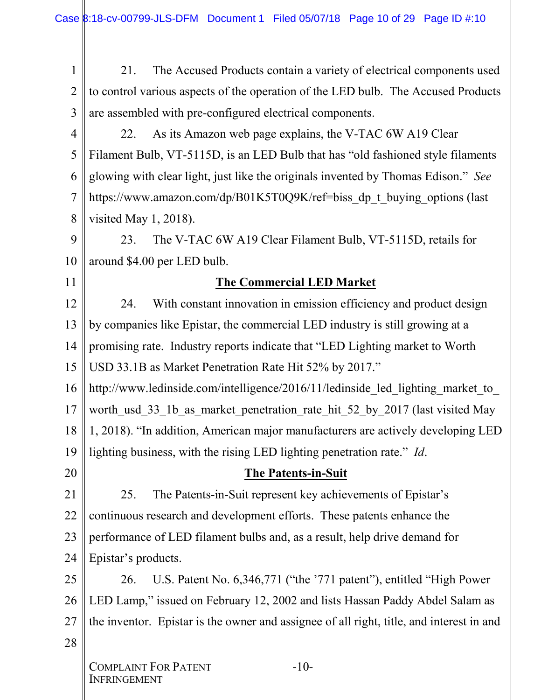1 2 3 21. The Accused Products contain a variety of electrical components used to control various aspects of the operation of the LED bulb. The Accused Products are assembled with pre-configured electrical components.

4 5 6 7 8 22. As its Amazon web page explains, the V-TAC 6W A19 Clear Filament Bulb, VT-5115D, is an LED Bulb that has "old fashioned style filaments glowing with clear light, just like the originals invented by Thomas Edison." *See* https://www.amazon.com/dp/B01K5T0Q9K/ref=biss dp\_t\_buying\_options (last visited May 1, 2018).

9 10 23. The V-TAC 6W A19 Clear Filament Bulb, VT-5115D, retails for around \$4.00 per LED bulb.

# 11

20

# **The Commercial LED Market**

12 13 14 15 24. With constant innovation in emission efficiency and product design by companies like Epistar, the commercial LED industry is still growing at a promising rate. Industry reports indicate that "LED Lighting market to Worth USD 33.1B as Market Penetration Rate Hit 52% by 2017."

16 17 18 19 http://www.ledinside.com/intelligence/2016/11/ledinside led lighting market to worth\_usd\_33\_1b\_as\_market\_penetration\_rate\_hit\_52\_by\_2017 (last visited May 1, 2018). "In addition, American major manufacturers are actively developing LED lighting business, with the rising LED lighting penetration rate." *Id*.

# **The Patents-in-Suit**

21 22 23 24 25. The Patents-in-Suit represent key achievements of Epistar's continuous research and development efforts. These patents enhance the performance of LED filament bulbs and, as a result, help drive demand for Epistar's products.

25 26 27 28 26. U.S. Patent No. 6,346,771 ("the '771 patent"), entitled "High Power LED Lamp," issued on February 12, 2002 and lists Hassan Paddy Abdel Salam as the inventor. Epistar is the owner and assignee of all right, title, and interest in and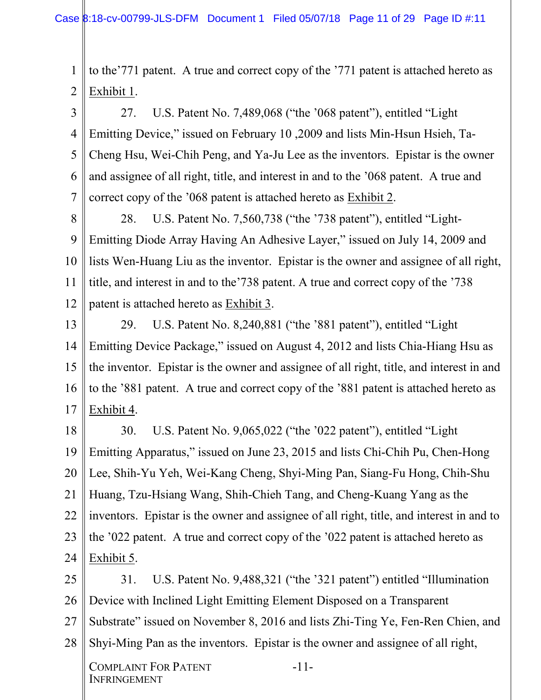1 2 to the'771 patent. A true and correct copy of the '771 patent is attached hereto as Exhibit 1.

3 4 5 6 7 27. U.S. Patent No. 7,489,068 ("the '068 patent"), entitled "Light Emitting Device," issued on February 10 ,2009 and lists Min-Hsun Hsieh, Ta-Cheng Hsu, Wei-Chih Peng, and Ya-Ju Lee as the inventors. Epistar is the owner and assignee of all right, title, and interest in and to the '068 patent. A true and correct copy of the '068 patent is attached hereto as Exhibit 2.

8 9 10 11 12 28. U.S. Patent No. 7,560,738 ("the '738 patent"), entitled "Light-Emitting Diode Array Having An Adhesive Layer," issued on July 14, 2009 and lists Wen-Huang Liu as the inventor. Epistar is the owner and assignee of all right, title, and interest in and to the'738 patent. A true and correct copy of the '738 patent is attached hereto as Exhibit 3.

13 14 15 16 17 29. U.S. Patent No. 8,240,881 ("the '881 patent"), entitled "Light Emitting Device Package," issued on August 4, 2012 and lists Chia-Hiang Hsu as the inventor. Epistar is the owner and assignee of all right, title, and interest in and to the '881 patent. A true and correct copy of the '881 patent is attached hereto as Exhibit 4.

18 19 20 21 22 23 24 30. U.S. Patent No. 9,065,022 ("the '022 patent"), entitled "Light Emitting Apparatus," issued on June 23, 2015 and lists Chi-Chih Pu, Chen-Hong Lee, Shih-Yu Yeh, Wei-Kang Cheng, Shyi-Ming Pan, Siang-Fu Hong, Chih-Shu Huang, Tzu-Hsiang Wang, Shih-Chieh Tang, and Cheng-Kuang Yang as the inventors. Epistar is the owner and assignee of all right, title, and interest in and to the '022 patent. A true and correct copy of the '022 patent is attached hereto as Exhibit 5.

25 26 27 28 31. U.S. Patent No. 9,488,321 ("the '321 patent") entitled "Illumination Device with Inclined Light Emitting Element Disposed on a Transparent Substrate" issued on November 8, 2016 and lists Zhi-Ting Ye, Fen-Ren Chien, and Shyi-Ming Pan as the inventors. Epistar is the owner and assignee of all right,

-11-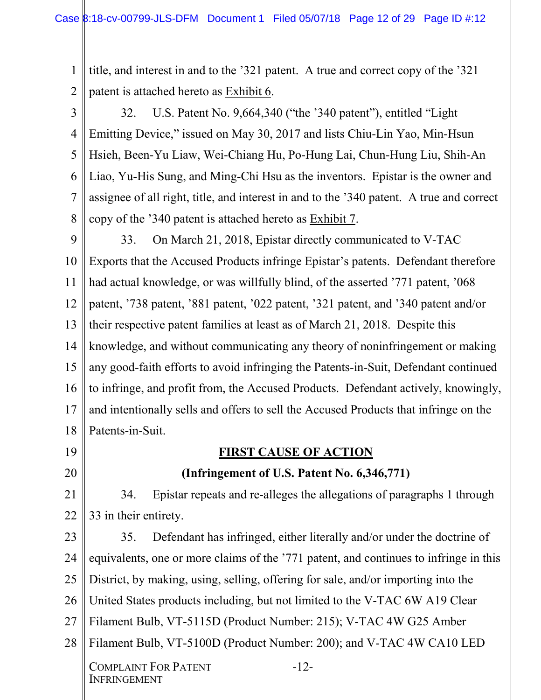1 2 title, and interest in and to the '321 patent. A true and correct copy of the '321 patent is attached hereto as Exhibit 6.

3 4 5 6 7 8 32. U.S. Patent No. 9,664,340 ("the '340 patent"), entitled "Light Emitting Device," issued on May 30, 2017 and lists Chiu-Lin Yao, Min-Hsun Hsieh, Been-Yu Liaw, Wei-Chiang Hu, Po-Hung Lai, Chun-Hung Liu, Shih-An Liao, Yu-His Sung, and Ming-Chi Hsu as the inventors. Epistar is the owner and assignee of all right, title, and interest in and to the '340 patent. A true and correct copy of the '340 patent is attached hereto as Exhibit 7.

9 10 11 12 13 14 15 16 17 18 33. On March 21, 2018, Epistar directly communicated to V-TAC Exports that the Accused Products infringe Epistar's patents. Defendant therefore had actual knowledge, or was willfully blind, of the asserted '771 patent, '068 patent, '738 patent, '881 patent, '022 patent, '321 patent, and '340 patent and/or their respective patent families at least as of March 21, 2018. Despite this knowledge, and without communicating any theory of noninfringement or making any good-faith efforts to avoid infringing the Patents-in-Suit, Defendant continued to infringe, and profit from, the Accused Products. Defendant actively, knowingly, and intentionally sells and offers to sell the Accused Products that infringe on the Patents-in-Suit.

19

20

# **FIRST CAUSE OF ACTION**

# **(Infringement of U.S. Patent No. 6,346,771)**

21 22 34. Epistar repeats and re-alleges the allegations of paragraphs 1 through 33 in their entirety.

23 24 25 26 27 28 COMPLAINT FOR PATENT 35. Defendant has infringed, either literally and/or under the doctrine of equivalents, one or more claims of the '771 patent, and continues to infringe in this District, by making, using, selling, offering for sale, and/or importing into the United States products including, but not limited to the V-TAC 6W A19 Clear Filament Bulb, VT-5115D (Product Number: 215); V-TAC 4W G25 Amber Filament Bulb, VT-5100D (Product Number: 200); and V-TAC 4W CA10 LED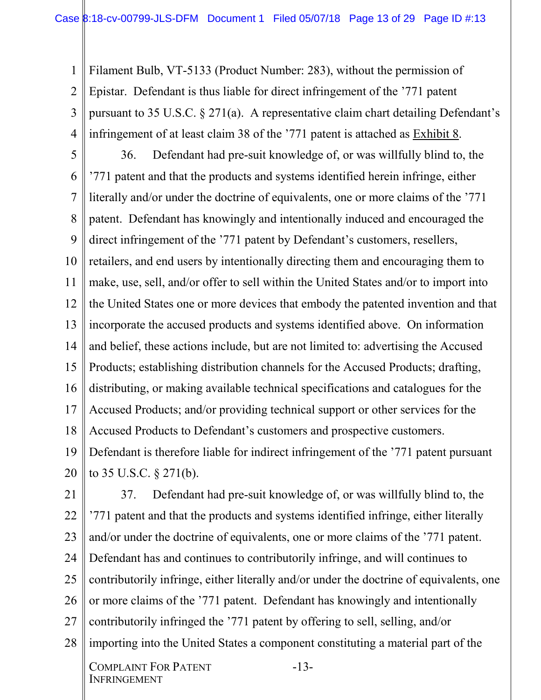1 2 3 4 Filament Bulb, VT-5133 (Product Number: 283), without the permission of Epistar. Defendant is thus liable for direct infringement of the '771 patent pursuant to 35 U.S.C. § 271(a). A representative claim chart detailing Defendant's infringement of at least claim 38 of the '771 patent is attached as Exhibit 8.

5 6 7 8 9 10 11 12 13 14 15 16 17 18 19 20 36. Defendant had pre-suit knowledge of, or was willfully blind to, the '771 patent and that the products and systems identified herein infringe, either literally and/or under the doctrine of equivalents, one or more claims of the '771 patent. Defendant has knowingly and intentionally induced and encouraged the direct infringement of the '771 patent by Defendant's customers, resellers, retailers, and end users by intentionally directing them and encouraging them to make, use, sell, and/or offer to sell within the United States and/or to import into the United States one or more devices that embody the patented invention and that incorporate the accused products and systems identified above. On information and belief, these actions include, but are not limited to: advertising the Accused Products; establishing distribution channels for the Accused Products; drafting, distributing, or making available technical specifications and catalogues for the Accused Products; and/or providing technical support or other services for the Accused Products to Defendant's customers and prospective customers. Defendant is therefore liable for indirect infringement of the '771 patent pursuant to 35 U.S.C. § 271(b).

21 22 23 24 25 26 27 28 37. Defendant had pre-suit knowledge of, or was willfully blind to, the '771 patent and that the products and systems identified infringe, either literally and/or under the doctrine of equivalents, one or more claims of the '771 patent. Defendant has and continues to contributorily infringe, and will continues to contributorily infringe, either literally and/or under the doctrine of equivalents, one or more claims of the '771 patent. Defendant has knowingly and intentionally contributorily infringed the '771 patent by offering to sell, selling, and/or importing into the United States a component constituting a material part of the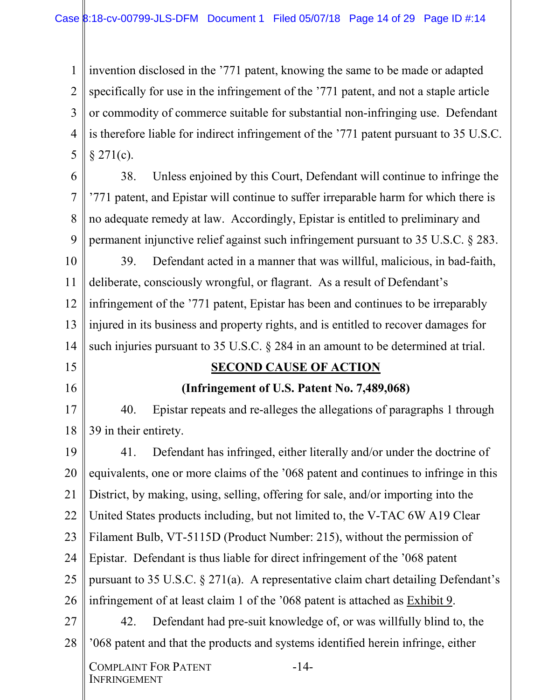1 2 3 4 5 invention disclosed in the '771 patent, knowing the same to be made or adapted specifically for use in the infringement of the '771 patent, and not a staple article or commodity of commerce suitable for substantial non-infringing use. Defendant is therefore liable for indirect infringement of the '771 patent pursuant to 35 U.S.C.  $$271(c)$ .

6

15

16

7 8 9 38. Unless enjoined by this Court, Defendant will continue to infringe the '771 patent, and Epistar will continue to suffer irreparable harm for which there is no adequate remedy at law. Accordingly, Epistar is entitled to preliminary and permanent injunctive relief against such infringement pursuant to 35 U.S.C. § 283.

10 11 12 13 14 39. Defendant acted in a manner that was willful, malicious, in bad-faith, deliberate, consciously wrongful, or flagrant. As a result of Defendant's infringement of the '771 patent, Epistar has been and continues to be irreparably injured in its business and property rights, and is entitled to recover damages for such injuries pursuant to 35 U.S.C. § 284 in an amount to be determined at trial.

#### **SECOND CAUSE OF ACTION**

# **(Infringement of U.S. Patent No. 7,489,068)**

17 18 40. Epistar repeats and re-alleges the allegations of paragraphs 1 through 39 in their entirety.

19 20 21 22 23 24 25 26 27 28 41. Defendant has infringed, either literally and/or under the doctrine of equivalents, one or more claims of the '068 patent and continues to infringe in this District, by making, using, selling, offering for sale, and/or importing into the United States products including, but not limited to, the V-TAC 6W A19 Clear Filament Bulb, VT-5115D (Product Number: 215), without the permission of Epistar. Defendant is thus liable for direct infringement of the '068 patent pursuant to 35 U.S.C. § 271(a). A representative claim chart detailing Defendant's infringement of at least claim 1 of the '068 patent is attached as Exhibit 9. 42. Defendant had pre-suit knowledge of, or was willfully blind to, the '068 patent and that the products and systems identified herein infringe, either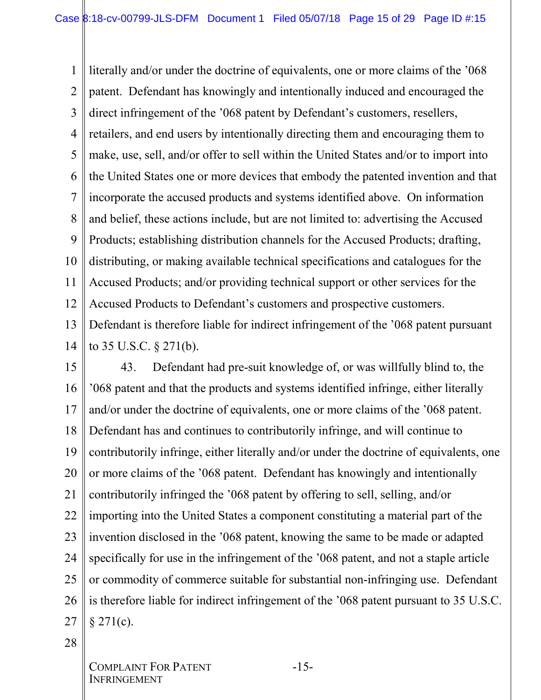1 2 3 4 5 6 7 8 9 10 11 12 13 14 literally and/or under the doctrine of equivalents, one or more claims of the '068 patent. Defendant has knowingly and intentionally induced and encouraged the direct infringement of the '068 patent by Defendant's customers, resellers, retailers, and end users by intentionally directing them and encouraging them to make, use, sell, and/or offer to sell within the United States and/or to import into the United States one or more devices that embody the patented invention and that incorporate the accused products and systems identified above. On information and belief, these actions include, but are not limited to: advertising the Accused Products; establishing distribution channels for the Accused Products; drafting, distributing, or making available technical specifications and catalogues for the Accused Products; and/or providing technical support or other services for the Accused Products to Defendant's customers and prospective customers. Defendant is therefore liable for indirect infringement of the '068 patent pursuant to 35 U.S.C. § 271(b).

15 16 17 18 19 20 21 22 23 24 25 26 27 43. Defendant had pre-suit knowledge of, or was willfully blind to, the '068 patent and that the products and systems identified infringe, either literally and/or under the doctrine of equivalents, one or more claims of the '068 patent. Defendant has and continues to contributorily infringe, and will continue to contributorily infringe, either literally and/or under the doctrine of equivalents, one or more claims of the '068 patent. Defendant has knowingly and intentionally contributorily infringed the '068 patent by offering to sell, selling, and/or importing into the United States a component constituting a material part of the invention disclosed in the '068 patent, knowing the same to be made or adapted specifically for use in the infringement of the '068 patent, and not a staple article or commodity of commerce suitable for substantial non-infringing use. Defendant is therefore liable for indirect infringement of the '068 patent pursuant to 35 U.S.C.  $§$  271(c).

28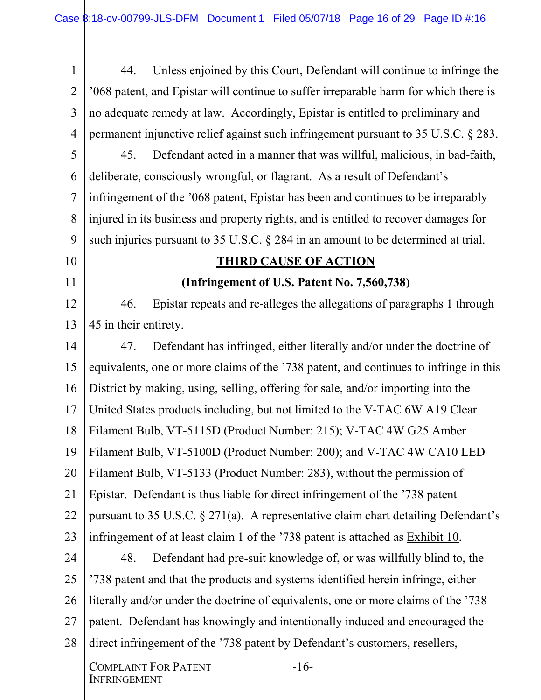1 2 3 4 44. Unless enjoined by this Court, Defendant will continue to infringe the '068 patent, and Epistar will continue to suffer irreparable harm for which there is no adequate remedy at law. Accordingly, Epistar is entitled to preliminary and permanent injunctive relief against such infringement pursuant to 35 U.S.C. § 283.

5 6 7 8 9 45. Defendant acted in a manner that was willful, malicious, in bad-faith, deliberate, consciously wrongful, or flagrant. As a result of Defendant's infringement of the '068 patent, Epistar has been and continues to be irreparably injured in its business and property rights, and is entitled to recover damages for such injuries pursuant to 35 U.S.C. § 284 in an amount to be determined at trial.

10

11

# **THIRD CAUSE OF ACTION**

# **(Infringement of U.S. Patent No. 7,560,738)**

12 13 46. Epistar repeats and re-alleges the allegations of paragraphs 1 through 45 in their entirety.

14 15 16 17 18 19 20 21 22 23 47. Defendant has infringed, either literally and/or under the doctrine of equivalents, one or more claims of the '738 patent, and continues to infringe in this District by making, using, selling, offering for sale, and/or importing into the United States products including, but not limited to the V-TAC 6W A19 Clear Filament Bulb, VT-5115D (Product Number: 215); V-TAC 4W G25 Amber Filament Bulb, VT-5100D (Product Number: 200); and V-TAC 4W CA10 LED Filament Bulb, VT-5133 (Product Number: 283), without the permission of Epistar. Defendant is thus liable for direct infringement of the '738 patent pursuant to 35 U.S.C. § 271(a). A representative claim chart detailing Defendant's infringement of at least claim 1 of the '738 patent is attached as Exhibit 10.

24 25 26 27 28 48. Defendant had pre-suit knowledge of, or was willfully blind to, the '738 patent and that the products and systems identified herein infringe, either literally and/or under the doctrine of equivalents, one or more claims of the '738 patent. Defendant has knowingly and intentionally induced and encouraged the direct infringement of the '738 patent by Defendant's customers, resellers,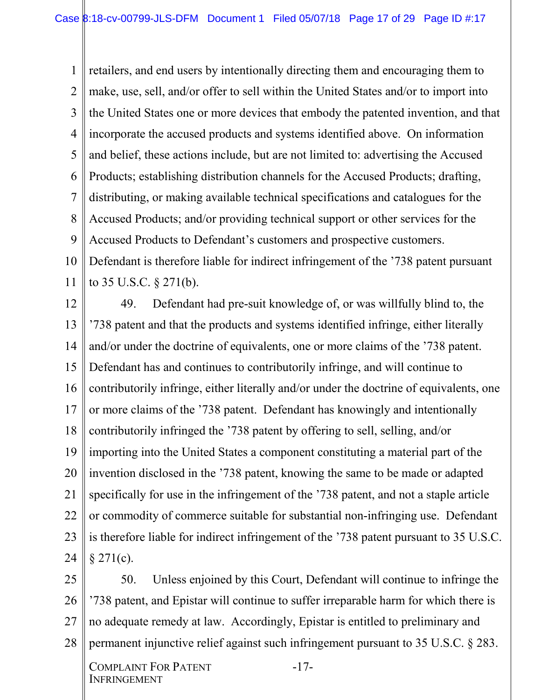1 2 3 4 5 6 7 8 9 10 11 retailers, and end users by intentionally directing them and encouraging them to make, use, sell, and/or offer to sell within the United States and/or to import into the United States one or more devices that embody the patented invention, and that incorporate the accused products and systems identified above. On information and belief, these actions include, but are not limited to: advertising the Accused Products; establishing distribution channels for the Accused Products; drafting, distributing, or making available technical specifications and catalogues for the Accused Products; and/or providing technical support or other services for the Accused Products to Defendant's customers and prospective customers. Defendant is therefore liable for indirect infringement of the '738 patent pursuant to 35 U.S.C. § 271(b).

12 13 14 15 16 17 18 19 20 21 22 23 24 49. Defendant had pre-suit knowledge of, or was willfully blind to, the '738 patent and that the products and systems identified infringe, either literally and/or under the doctrine of equivalents, one or more claims of the '738 patent. Defendant has and continues to contributorily infringe, and will continue to contributorily infringe, either literally and/or under the doctrine of equivalents, one or more claims of the '738 patent. Defendant has knowingly and intentionally contributorily infringed the '738 patent by offering to sell, selling, and/or importing into the United States a component constituting a material part of the invention disclosed in the '738 patent, knowing the same to be made or adapted specifically for use in the infringement of the '738 patent, and not a staple article or commodity of commerce suitable for substantial non-infringing use. Defendant is therefore liable for indirect infringement of the '738 patent pursuant to 35 U.S.C.  $§ 271(c).$ 

25 26 27 28 50. Unless enjoined by this Court, Defendant will continue to infringe the '738 patent, and Epistar will continue to suffer irreparable harm for which there is no adequate remedy at law. Accordingly, Epistar is entitled to preliminary and permanent injunctive relief against such infringement pursuant to 35 U.S.C. § 283.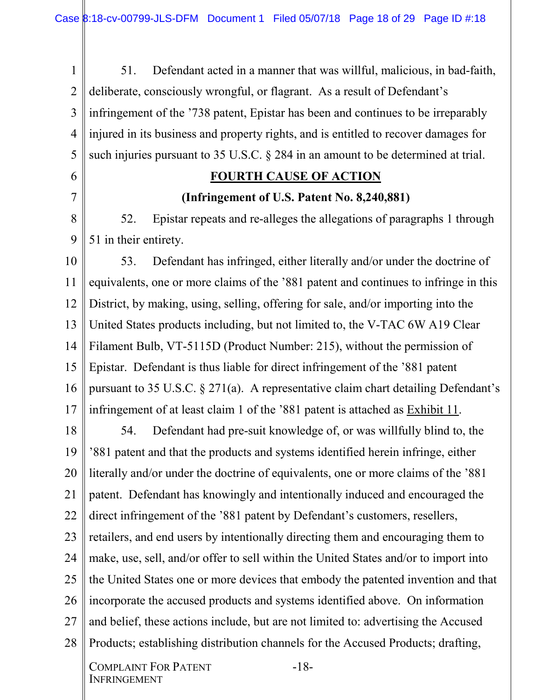1 2 3 4 5 51. Defendant acted in a manner that was willful, malicious, in bad-faith, deliberate, consciously wrongful, or flagrant. As a result of Defendant's infringement of the '738 patent, Epistar has been and continues to be irreparably injured in its business and property rights, and is entitled to recover damages for such injuries pursuant to 35 U.S.C. § 284 in an amount to be determined at trial.

#### **FOURTH CAUSE OF ACTION**

#### **(Infringement of U.S. Patent No. 8,240,881)**

8 9 52. Epistar repeats and re-alleges the allegations of paragraphs 1 through 51 in their entirety.

10 11 12 13 14 15 16 17 53. Defendant has infringed, either literally and/or under the doctrine of equivalents, one or more claims of the '881 patent and continues to infringe in this District, by making, using, selling, offering for sale, and/or importing into the United States products including, but not limited to, the V-TAC 6W A19 Clear Filament Bulb, VT-5115D (Product Number: 215), without the permission of Epistar. Defendant is thus liable for direct infringement of the '881 patent pursuant to 35 U.S.C. § 271(a). A representative claim chart detailing Defendant's infringement of at least claim 1 of the '881 patent is attached as Exhibit 11.

18 19 20 21 22 23 24 25 26 27 28 54. Defendant had pre-suit knowledge of, or was willfully blind to, the '881 patent and that the products and systems identified herein infringe, either literally and/or under the doctrine of equivalents, one or more claims of the '881 patent. Defendant has knowingly and intentionally induced and encouraged the direct infringement of the '881 patent by Defendant's customers, resellers, retailers, and end users by intentionally directing them and encouraging them to make, use, sell, and/or offer to sell within the United States and/or to import into the United States one or more devices that embody the patented invention and that incorporate the accused products and systems identified above. On information and belief, these actions include, but are not limited to: advertising the Accused Products; establishing distribution channels for the Accused Products; drafting,

6

7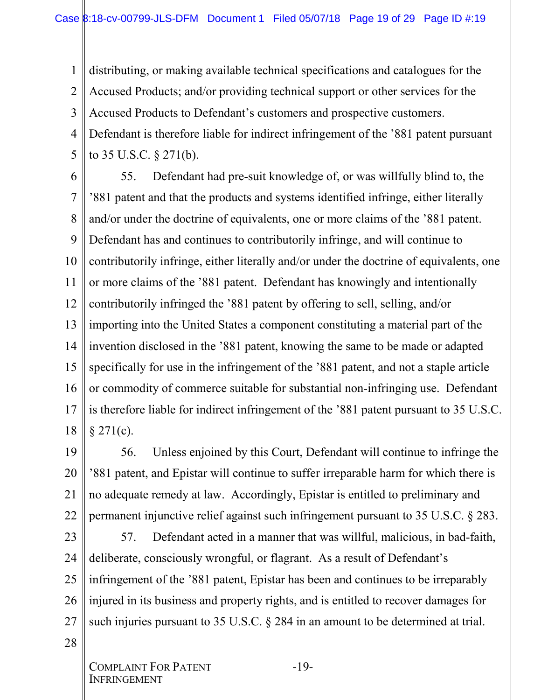1 2 3 4 5 distributing, or making available technical specifications and catalogues for the Accused Products; and/or providing technical support or other services for the Accused Products to Defendant's customers and prospective customers. Defendant is therefore liable for indirect infringement of the '881 patent pursuant to 35 U.S.C. § 271(b).

6 7 8 9 10 11 12 13 14 15 16 17 18 55. Defendant had pre-suit knowledge of, or was willfully blind to, the '881 patent and that the products and systems identified infringe, either literally and/or under the doctrine of equivalents, one or more claims of the '881 patent. Defendant has and continues to contributorily infringe, and will continue to contributorily infringe, either literally and/or under the doctrine of equivalents, one or more claims of the '881 patent. Defendant has knowingly and intentionally contributorily infringed the '881 patent by offering to sell, selling, and/or importing into the United States a component constituting a material part of the invention disclosed in the '881 patent, knowing the same to be made or adapted specifically for use in the infringement of the '881 patent, and not a staple article or commodity of commerce suitable for substantial non-infringing use. Defendant is therefore liable for indirect infringement of the '881 patent pursuant to 35 U.S.C.  $§$  271(c).

19 20 21 22 56. Unless enjoined by this Court, Defendant will continue to infringe the '881 patent, and Epistar will continue to suffer irreparable harm for which there is no adequate remedy at law. Accordingly, Epistar is entitled to preliminary and permanent injunctive relief against such infringement pursuant to 35 U.S.C. § 283.

23 24 25 26 27 57. Defendant acted in a manner that was willful, malicious, in bad-faith, deliberate, consciously wrongful, or flagrant. As a result of Defendant's infringement of the '881 patent, Epistar has been and continues to be irreparably injured in its business and property rights, and is entitled to recover damages for such injuries pursuant to 35 U.S.C. § 284 in an amount to be determined at trial.

28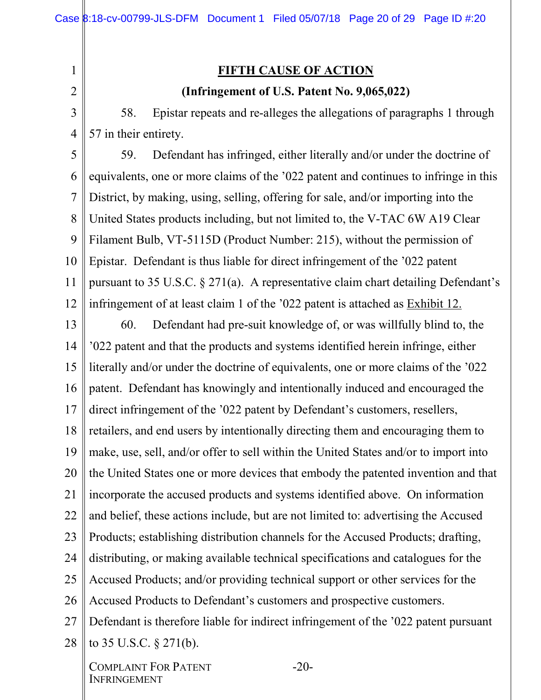# 2

1

# **FIFTH CAUSE OF ACTION**

#### **(Infringement of U.S. Patent No. 9,065,022)**

3 4 58. Epistar repeats and re-alleges the allegations of paragraphs 1 through 57 in their entirety.

5 6 7 8 9 10 11 12 59. Defendant has infringed, either literally and/or under the doctrine of equivalents, one or more claims of the '022 patent and continues to infringe in this District, by making, using, selling, offering for sale, and/or importing into the United States products including, but not limited to, the V-TAC 6W A19 Clear Filament Bulb, VT-5115D (Product Number: 215), without the permission of Epistar. Defendant is thus liable for direct infringement of the '022 patent pursuant to 35 U.S.C. § 271(a). A representative claim chart detailing Defendant's infringement of at least claim 1 of the '022 patent is attached as Exhibit 12.

13 14 15 16 17 18 19 20 21 22 23 24 25 26 27 28 60. Defendant had pre-suit knowledge of, or was willfully blind to, the '022 patent and that the products and systems identified herein infringe, either literally and/or under the doctrine of equivalents, one or more claims of the '022 patent. Defendant has knowingly and intentionally induced and encouraged the direct infringement of the '022 patent by Defendant's customers, resellers, retailers, and end users by intentionally directing them and encouraging them to make, use, sell, and/or offer to sell within the United States and/or to import into the United States one or more devices that embody the patented invention and that incorporate the accused products and systems identified above. On information and belief, these actions include, but are not limited to: advertising the Accused Products; establishing distribution channels for the Accused Products; drafting, distributing, or making available technical specifications and catalogues for the Accused Products; and/or providing technical support or other services for the Accused Products to Defendant's customers and prospective customers. Defendant is therefore liable for indirect infringement of the '022 patent pursuant to 35 U.S.C. § 271(b).

COMPLAINT FOR PATENT **INFRINGEMENT** 

-20-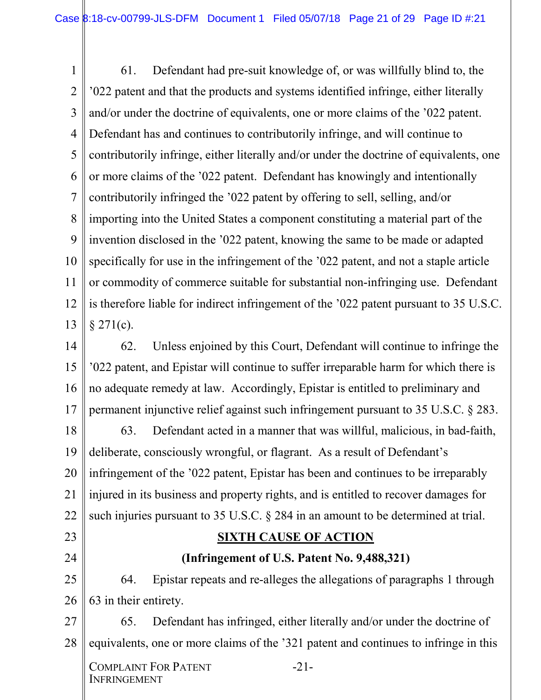1 2 3 4 5 6 7 8 9 10 11 12 13 61. Defendant had pre-suit knowledge of, or was willfully blind to, the '022 patent and that the products and systems identified infringe, either literally and/or under the doctrine of equivalents, one or more claims of the '022 patent. Defendant has and continues to contributorily infringe, and will continue to contributorily infringe, either literally and/or under the doctrine of equivalents, one or more claims of the '022 patent. Defendant has knowingly and intentionally contributorily infringed the '022 patent by offering to sell, selling, and/or importing into the United States a component constituting a material part of the invention disclosed in the '022 patent, knowing the same to be made or adapted specifically for use in the infringement of the '022 patent, and not a staple article or commodity of commerce suitable for substantial non-infringing use. Defendant is therefore liable for indirect infringement of the '022 patent pursuant to 35 U.S.C.  $§ 271(c).$ 

14 15 16 17 62. Unless enjoined by this Court, Defendant will continue to infringe the '022 patent, and Epistar will continue to suffer irreparable harm for which there is no adequate remedy at law. Accordingly, Epistar is entitled to preliminary and permanent injunctive relief against such infringement pursuant to 35 U.S.C. § 283.

18 19 20 21 22 63. Defendant acted in a manner that was willful, malicious, in bad-faith, deliberate, consciously wrongful, or flagrant. As a result of Defendant's infringement of the '022 patent, Epistar has been and continues to be irreparably injured in its business and property rights, and is entitled to recover damages for such injuries pursuant to 35 U.S.C. § 284 in an amount to be determined at trial.

#### **SIXTH CAUSE OF ACTION**

# **(Infringement of U.S. Patent No. 9,488,321)**

25 26 64. Epistar repeats and re-alleges the allegations of paragraphs 1 through 63 in their entirety.

27 28 65. Defendant has infringed, either literally and/or under the doctrine of equivalents, one or more claims of the '321 patent and continues to infringe in this

COMPLAINT FOR PATENT **INFRINGEMENT** 

23

24

-21-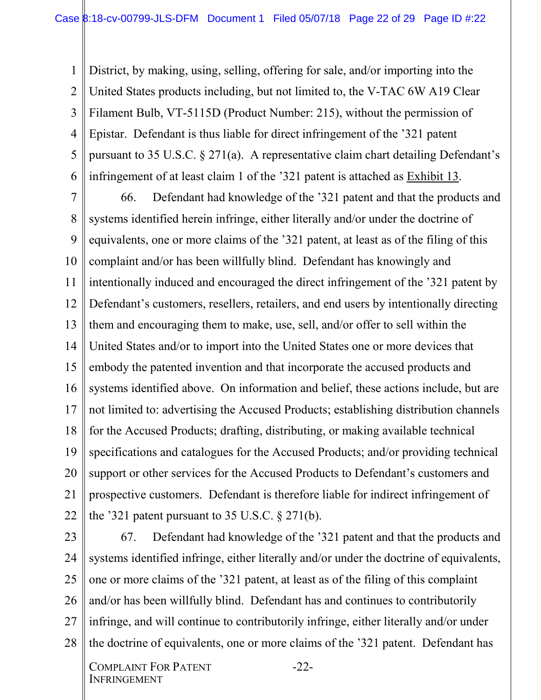1 2 3 4 5 6 District, by making, using, selling, offering for sale, and/or importing into the United States products including, but not limited to, the V-TAC 6W A19 Clear Filament Bulb, VT-5115D (Product Number: 215), without the permission of Epistar. Defendant is thus liable for direct infringement of the '321 patent pursuant to 35 U.S.C. § 271(a). A representative claim chart detailing Defendant's infringement of at least claim 1 of the '321 patent is attached as Exhibit 13.

7 8 9 10 11 12 13 14 15 16 17 18 19 20 21 22 66. Defendant had knowledge of the '321 patent and that the products and systems identified herein infringe, either literally and/or under the doctrine of equivalents, one or more claims of the '321 patent, at least as of the filing of this complaint and/or has been willfully blind. Defendant has knowingly and intentionally induced and encouraged the direct infringement of the '321 patent by Defendant's customers, resellers, retailers, and end users by intentionally directing them and encouraging them to make, use, sell, and/or offer to sell within the United States and/or to import into the United States one or more devices that embody the patented invention and that incorporate the accused products and systems identified above. On information and belief, these actions include, but are not limited to: advertising the Accused Products; establishing distribution channels for the Accused Products; drafting, distributing, or making available technical specifications and catalogues for the Accused Products; and/or providing technical support or other services for the Accused Products to Defendant's customers and prospective customers. Defendant is therefore liable for indirect infringement of the '321 patent pursuant to 35 U.S.C.  $\S 271(b)$ .

23 24 25 26 27 28 67. Defendant had knowledge of the '321 patent and that the products and systems identified infringe, either literally and/or under the doctrine of equivalents, one or more claims of the '321 patent, at least as of the filing of this complaint and/or has been willfully blind. Defendant has and continues to contributorily infringe, and will continue to contributorily infringe, either literally and/or under the doctrine of equivalents, one or more claims of the '321 patent. Defendant has

-22-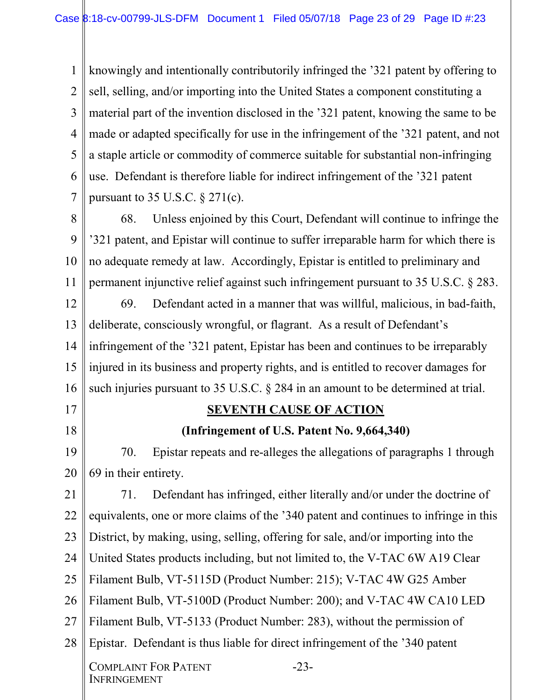1 2 3 4 5 6 7 knowingly and intentionally contributorily infringed the '321 patent by offering to sell, selling, and/or importing into the United States a component constituting a material part of the invention disclosed in the '321 patent, knowing the same to be made or adapted specifically for use in the infringement of the '321 patent, and not a staple article or commodity of commerce suitable for substantial non-infringing use. Defendant is therefore liable for indirect infringement of the '321 patent pursuant to 35 U.S.C.  $\S 271(c)$ .

8 9 10 11 68. Unless enjoined by this Court, Defendant will continue to infringe the '321 patent, and Epistar will continue to suffer irreparable harm for which there is no adequate remedy at law. Accordingly, Epistar is entitled to preliminary and permanent injunctive relief against such infringement pursuant to 35 U.S.C. § 283.

12 13 14 15 16 69. Defendant acted in a manner that was willful, malicious, in bad-faith, deliberate, consciously wrongful, or flagrant. As a result of Defendant's infringement of the '321 patent, Epistar has been and continues to be irreparably injured in its business and property rights, and is entitled to recover damages for such injuries pursuant to 35 U.S.C. § 284 in an amount to be determined at trial.

17

18

**INFRINGEMENT** 

# **SEVENTH CAUSE OF ACTION**

#### **(Infringement of U.S. Patent No. 9,664,340)**

19 20 70. Epistar repeats and re-alleges the allegations of paragraphs 1 through 69 in their entirety.

21 22 23 24 25 26 27 28 COMPLAINT FOR PATENT -23- 71. Defendant has infringed, either literally and/or under the doctrine of equivalents, one or more claims of the '340 patent and continues to infringe in this District, by making, using, selling, offering for sale, and/or importing into the United States products including, but not limited to, the V-TAC 6W A19 Clear Filament Bulb, VT-5115D (Product Number: 215); V-TAC 4W G25 Amber Filament Bulb, VT-5100D (Product Number: 200); and V-TAC 4W CA10 LED Filament Bulb, VT-5133 (Product Number: 283), without the permission of Epistar. Defendant is thus liable for direct infringement of the '340 patent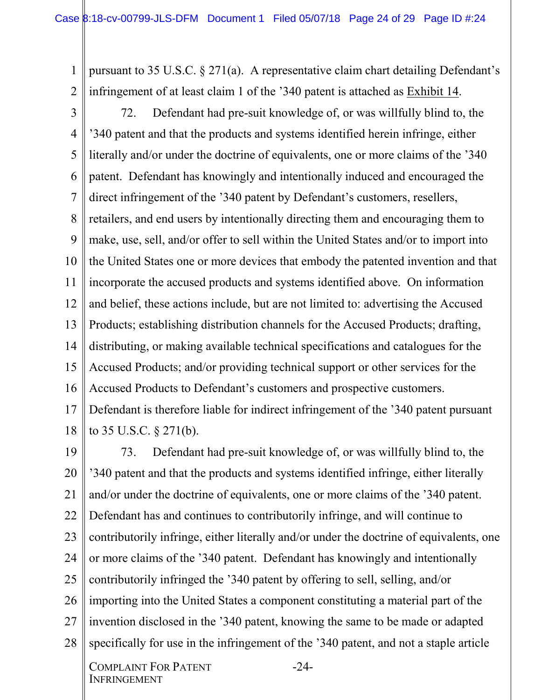1 2 pursuant to 35 U.S.C. § 271(a). A representative claim chart detailing Defendant's infringement of at least claim 1 of the '340 patent is attached as Exhibit 14.

3 4 5 6 7 8 9 10 11 12 13 14 15 16 17 72. Defendant had pre-suit knowledge of, or was willfully blind to, the '340 patent and that the products and systems identified herein infringe, either literally and/or under the doctrine of equivalents, one or more claims of the '340 patent. Defendant has knowingly and intentionally induced and encouraged the direct infringement of the '340 patent by Defendant's customers, resellers, retailers, and end users by intentionally directing them and encouraging them to make, use, sell, and/or offer to sell within the United States and/or to import into the United States one or more devices that embody the patented invention and that incorporate the accused products and systems identified above. On information and belief, these actions include, but are not limited to: advertising the Accused Products; establishing distribution channels for the Accused Products; drafting, distributing, or making available technical specifications and catalogues for the Accused Products; and/or providing technical support or other services for the Accused Products to Defendant's customers and prospective customers. Defendant is therefore liable for indirect infringement of the '340 patent pursuant

18 to 35 U.S.C. § 271(b).

19 20 21 22 23 24 25 26 27 28 73. Defendant had pre-suit knowledge of, or was willfully blind to, the '340 patent and that the products and systems identified infringe, either literally and/or under the doctrine of equivalents, one or more claims of the '340 patent. Defendant has and continues to contributorily infringe, and will continue to contributorily infringe, either literally and/or under the doctrine of equivalents, one or more claims of the '340 patent. Defendant has knowingly and intentionally contributorily infringed the '340 patent by offering to sell, selling, and/or importing into the United States a component constituting a material part of the invention disclosed in the '340 patent, knowing the same to be made or adapted specifically for use in the infringement of the '340 patent, and not a staple article

-24-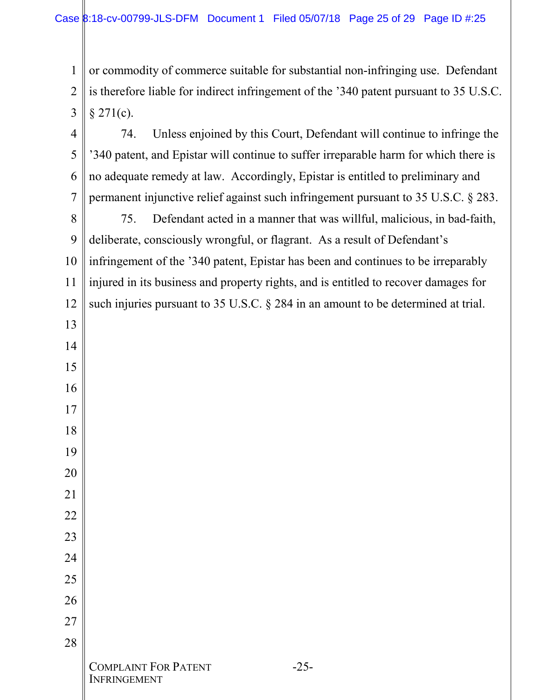INFRINGEMENT

 or commodity of commerce suitable for substantial non-infringing use. Defendant is therefore liable for indirect infringement of the '340 patent pursuant to 35 U.S.C.  $§$  271(c).

 COMPLAINT FOR PATENT -25- 74. Unless enjoined by this Court, Defendant will continue to infringe the '340 patent, and Epistar will continue to suffer irreparable harm for which there is no adequate remedy at law. Accordingly, Epistar is entitled to preliminary and permanent injunctive relief against such infringement pursuant to 35 U.S.C. § 283. 75. Defendant acted in a manner that was willful, malicious, in bad-faith, deliberate, consciously wrongful, or flagrant. As a result of Defendant's infringement of the '340 patent, Epistar has been and continues to be irreparably injured in its business and property rights, and is entitled to recover damages for such injuries pursuant to 35 U.S.C. § 284 in an amount to be determined at trial.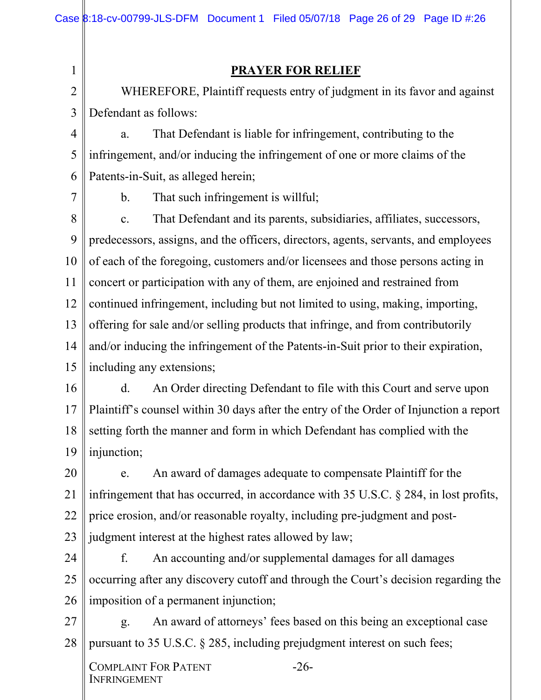#### **PRAYER FOR RELIEF**

2 3 WHEREFORE, Plaintiff requests entry of judgment in its favor and against Defendant as follows:

4 5 6 a. That Defendant is liable for infringement, contributing to the infringement, and/or inducing the infringement of one or more claims of the Patents-in-Suit, as alleged herein;

7

1

b. That such infringement is willful;

8 9 10 11 12 13 14 15 c. That Defendant and its parents, subsidiaries, affiliates, successors, predecessors, assigns, and the officers, directors, agents, servants, and employees of each of the foregoing, customers and/or licensees and those persons acting in concert or participation with any of them, are enjoined and restrained from continued infringement, including but not limited to using, making, importing, offering for sale and/or selling products that infringe, and from contributorily and/or inducing the infringement of the Patents-in-Suit prior to their expiration, including any extensions;

16 17 18 19 d. An Order directing Defendant to file with this Court and serve upon Plaintiff's counsel within 30 days after the entry of the Order of Injunction a report setting forth the manner and form in which Defendant has complied with the injunction;

20 21 22 23 e. An award of damages adequate to compensate Plaintiff for the infringement that has occurred, in accordance with 35 U.S.C. § 284, in lost profits, price erosion, and/or reasonable royalty, including pre-judgment and postjudgment interest at the highest rates allowed by law;

24 25 26 f. An accounting and/or supplemental damages for all damages occurring after any discovery cutoff and through the Court's decision regarding the imposition of a permanent injunction;

27 28 g. An award of attorneys' fees based on this being an exceptional case pursuant to 35 U.S.C. § 285, including prejudgment interest on such fees;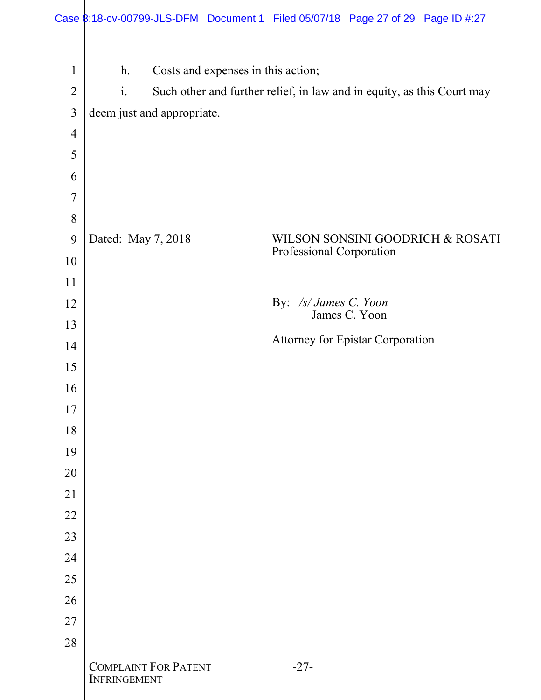|                               | Case 8:18-cv-00799-JLS-DFM Document 1 Filed 05/07/18 Page 27 of 29 Page ID #:27    |                                                                        |
|-------------------------------|------------------------------------------------------------------------------------|------------------------------------------------------------------------|
| 1<br>$\overline{2}$<br>3<br>4 | $h$ .<br>Costs and expenses in this action;<br>$i$ .<br>deem just and appropriate. | Such other and further relief, in law and in equity, as this Court may |
| 5                             |                                                                                    |                                                                        |
| 6                             |                                                                                    |                                                                        |
| 7                             |                                                                                    |                                                                        |
| 8<br>9                        | Dated: May 7, 2018                                                                 | WILSON SONSINI GOODRICH & ROSATI                                       |
| 10                            |                                                                                    | Professional Corporation                                               |
| 11                            |                                                                                    |                                                                        |
| 12                            |                                                                                    | By: /s/ James C. Yoon<br>James C. Yoon                                 |
| 13                            |                                                                                    | <b>Attorney for Epistar Corporation</b>                                |
| 14                            |                                                                                    |                                                                        |
| 15<br>16                      |                                                                                    |                                                                        |
| 17                            |                                                                                    |                                                                        |
| 18                            |                                                                                    |                                                                        |
| 19                            |                                                                                    |                                                                        |
| 20                            |                                                                                    |                                                                        |
| 21<br>22                      |                                                                                    |                                                                        |
| 23                            |                                                                                    |                                                                        |
| 24                            |                                                                                    |                                                                        |
| 25                            |                                                                                    |                                                                        |
| 26                            |                                                                                    |                                                                        |
| 27                            |                                                                                    |                                                                        |
| 28                            | <b>COMPLAINT FOR PATENT</b><br>INFRINGEMENT                                        | $-27-$                                                                 |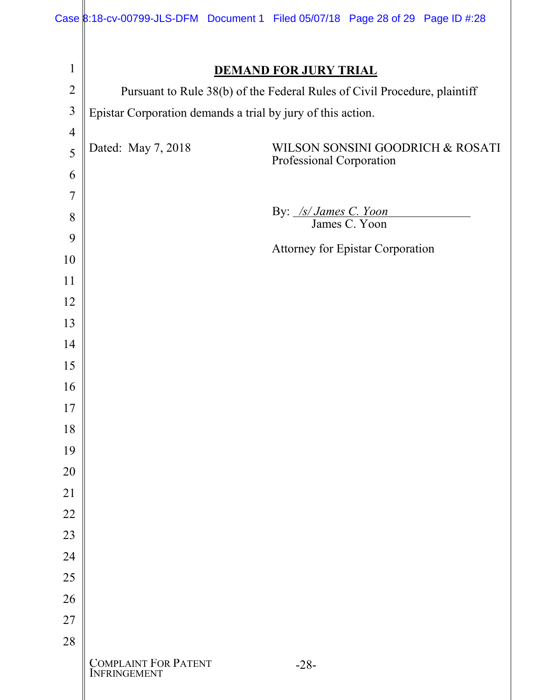|                |                                                                           |  |                              | Case 8:18-cv-00799-JLS-DFM Document 1 Filed 05/07/18 Page 28 of 29 Page ID #:28 |
|----------------|---------------------------------------------------------------------------|--|------------------------------|---------------------------------------------------------------------------------|
|                |                                                                           |  |                              |                                                                                 |
| $\mathbf{1}$   |                                                                           |  | <b>DEMAND FOR JURY TRIAL</b> |                                                                                 |
| $\overline{2}$ | Pursuant to Rule 38(b) of the Federal Rules of Civil Procedure, plaintiff |  |                              |                                                                                 |
| 3              | Epistar Corporation demands a trial by jury of this action.               |  |                              |                                                                                 |
| $\overline{4}$ |                                                                           |  |                              |                                                                                 |
| 5              | Dated: May 7, 2018                                                        |  | Professional Corporation     | WILSON SONSINI GOODRICH & ROSATI                                                |
| 6              |                                                                           |  |                              |                                                                                 |
| $\overline{7}$ |                                                                           |  | By: /s/ James C. Yoon        |                                                                                 |
| 8              |                                                                           |  |                              | James C. Yoon                                                                   |
| 9              |                                                                           |  |                              | <b>Attorney for Epistar Corporation</b>                                         |
| 10             |                                                                           |  |                              |                                                                                 |
| 11             |                                                                           |  |                              |                                                                                 |
| 12             |                                                                           |  |                              |                                                                                 |
| 13             |                                                                           |  |                              |                                                                                 |
| 14             |                                                                           |  |                              |                                                                                 |
| 15             |                                                                           |  |                              |                                                                                 |
| 16             |                                                                           |  |                              |                                                                                 |
| 17             |                                                                           |  |                              |                                                                                 |
| 18<br>19       |                                                                           |  |                              |                                                                                 |
| 20             |                                                                           |  |                              |                                                                                 |
| 21             |                                                                           |  |                              |                                                                                 |
| 22             |                                                                           |  |                              |                                                                                 |
| 23             |                                                                           |  |                              |                                                                                 |
| 24             |                                                                           |  |                              |                                                                                 |
| 25             |                                                                           |  |                              |                                                                                 |
| 26             |                                                                           |  |                              |                                                                                 |
| 27             |                                                                           |  |                              |                                                                                 |
| 28             |                                                                           |  |                              |                                                                                 |
|                | <b>COMPLAINT FOR PATENT</b><br><b>INFRINGEMENT</b>                        |  | $-28-$                       |                                                                                 |